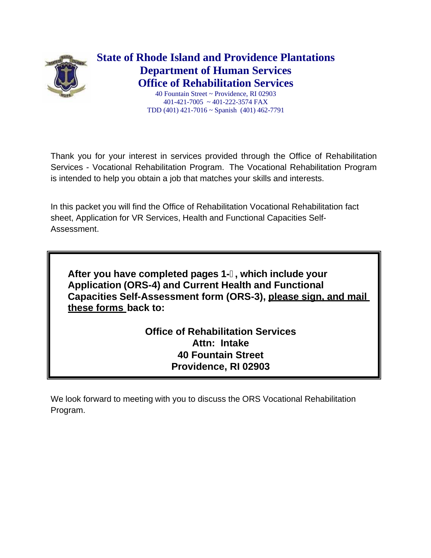

**State of Rhode Island and Providence Plantations Department of Human Services Office of Rehabilitation Services**

40 Fountain Street ~ Providence, RI 02903 401-421-7005 ~ 401-222-3574 FAX TDD (401) 421-7016 ~ Spanish (401) 462-7791

Thank you for your interest in services provided through the Office of Rehabilitation Services - Vocational Rehabilitation Program. The Vocational Rehabilitation Program is intended to help you obtain a job that matches your skills and interests.

In this packet you will find the Office of Rehabilitation Vocational Rehabilitation fact sheet, Application for VR Services, Health and Functional Capacities Self-Assessment.

**After you have completed pages 1-, which include your Application (ORS-4) and Current Health and Functional Capacities Self-Assessment form (ORS-3), please sign, and mail these forms back to:**

> **Office of Rehabilitation Services Attn: Intake 40 Fountain Street Providence, RI 02903**

We look forward to meeting with you to discuss the ORS Vocational Rehabilitation Program.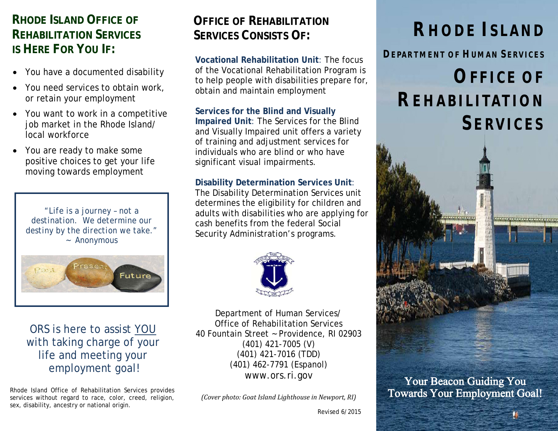# **RHODE ISLAND OFFICE OF REHABILITATION SERVICES IS HERE FOR YOU IF:**

- You have a documented disability
- You need services to obtain work, or retain your employment
- You want to work in a competitive job market in the Rhode Island/ local workforce
- You are ready to make some positive choices to get your life moving towards employment

*"Life is a journey – not a destination. We determine our destiny by the direction we take."* ~ Anonymous



ORS is here to assist YOU with taking charge of your life and meeting your employment goal!

Rhode Island Office of Rehabilitation Services provides services without regard to race, color, creed, religion, sex, disability, ancestry or national origin.

# **OFFICE OF REHABILITATION SERVICES CONSISTS OF: RHODE ISLAND**

**Vocational Rehabilitation Unit**: The focus of the Vocational Rehabilitation Program is to help people with disabilities prepare for, obtain and maintain employment

**Services for the Blind and Visually Impaired Unit**: The Services for the Blind and Visually Impaired unit offers a variety of training and adjustment services for individuals who are blind or who have significant visual impairments.

**Disability Determination Services Unit**: The Disability Determination Services unit determines the eligibility for children and adults with disabilities who are applying for cash benefits from the federal Social Security Administration's programs.



Department of Human Services/ Office of Rehabilitation Services 40 Fountain Street ~ Providence, RI 02903 (401) 421-7005 (V) (401) 421-7016 (TDD) (401) 462-7791 (Espanol) www.ors.ri.gov

*(Cover photo: Goat Island Lighthouse in Newport, RI)* 

**DEPARTMENT OF HUMAN SERVICES**

# **OFFICE OF REHABILITATION SERVICES**



Your Beacon Guiding You Towards Your Employment Goal!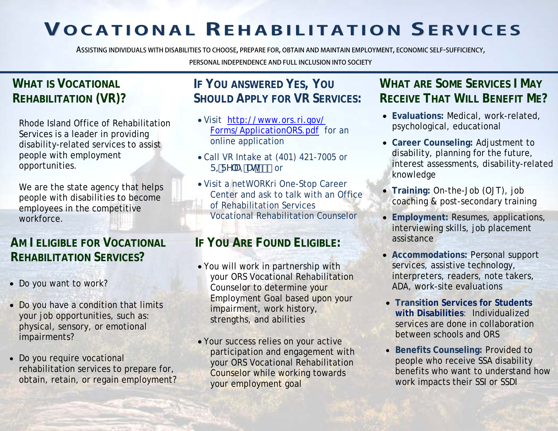# **VOCAT IONAL REHABI L ITAT ION SERVICES**

**ASSISTING INDIVIDUALS WITH DISABILITIES TO CHOOSE, PREPARE FOR, OBTAIN AND MAINTAIN EMPLOYMENT, ECONOMIC SELF-SUFFICIENCY,**

# **WHAT IS VOCATIONAL REHABILITATION (VR)?**

Rhode Island Office of Rehabilitation Services is a leader in providing disability-related services to assist people with employment opportunities.

We are the state agency that helps people with disabilities to become employees in the competitive workforce.

# **AM I ELIGIBLE FOR VOCATIONAL IF YOU ARE FOUND ELIGIBLE: REHABILITATION SERVICES?**

- Do you want to work?
- Do you have a condition that limits your job opportunities, such as: physical, sensory, or emotional impairments?
- Do you require vocational rehabilitation services to prepare for, obtain, retain, or regain employment?

#### **PERSONAL INDEPENDENCE AND FULL INCLUSION INTO SOCIETY**

# **IF YOU ANSWERED YES, YOU SHOULD APPLY FOR VR SERVICES:**

- Visit [http://www.ors.ri.gov/](http://www.ors.ri.gov/%0bForms/ApplicationORS.pdf) [Forms/ApplicationORS.pdf](http://www.ors.ri.gov/%0bForms/ApplicationORS.pdf) for an online application
- Call VR Intake at (401) 421-7005 or  $F = FY$ : Um Uhi +% or
- Visit a netWORKri One-Stop Career Center and ask to talk with an Office of Rehabilitation Services Vocational Rehabilitation Counselor

- You will work in partnership with your ORS Vocational Rehabilitation Counselor to determine your Employment Goal based upon your impairment, work history, strengths, and abilities
- Your success relies on your active participation and engagement with your ORS Vocational Rehabilitation Counselor while working towards your employment goal

# **WHAT ARE SOME SERVICES I MAY RECEIVE THAT WILL BENEFIT ME?**

- **Evaluations:** Medical, work-related, psychological, educational
- **Career Counseling:** Adjustment to disability, planning for the future, interest assessments, disability-related knowledge
- **Training:** On-the-Job (OJT), job coaching & post-secondary training
- **Employment:** Resumes, applications, interviewing skills, job placement assistance
- **Accommodations:** Personal support services, assistive technology, interpreters, readers, note takers, ADA, work-site evaluations
- **Transition Services for Students with Disabilities**: Individualized services are done in collaboration between schools and ORS
- **Benefits Counseling:** Provided to people who receive SSA disability benefits who want to understand how work impacts their SSI or SSDI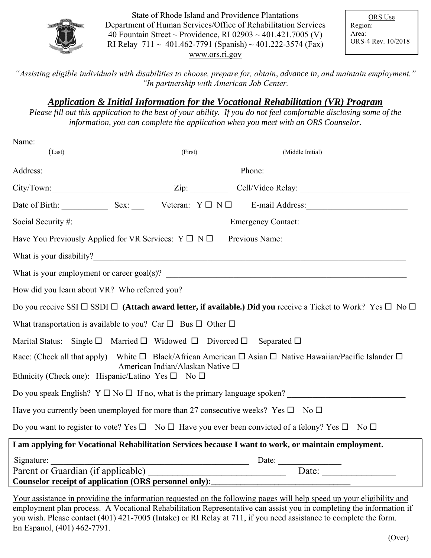

State of Rhode Island and Providence Plantations Department of Human Services/Office of Rehabilitation Services 40 Fountain Street ~ Providence, RI 02903 ~ 401.421.7005 (V) RI Relay  $711 \sim 401.462 - 7791$  (Spanish) ~ 401.222-3574 (Fax) [www.ors.ri.gov](http://www.ors.ri.gov/)

ORS Use Region: Area: ORS-4 Rev. 10/2018

*"Assisting eligible individuals with disabilities to choose, prepare for, obtain, advance in, and maintain employment." "In partnership with American Job Center.*

## *Application & Initial Information for the Vocational Rehabilitation (VR) Program*

*Please fill out this application to the best of your ability. If you do not feel comfortable disclosing some of the information, you can complete the application when you meet with an ORS Counselor.*

| Name: $\_\_$                                                                                                                                                     |         |                                                                                                                                   |  |
|------------------------------------------------------------------------------------------------------------------------------------------------------------------|---------|-----------------------------------------------------------------------------------------------------------------------------------|--|
| (Last)                                                                                                                                                           | (First) | (Middle Initial)                                                                                                                  |  |
|                                                                                                                                                                  |         | Phone:                                                                                                                            |  |
|                                                                                                                                                                  |         | City/Town: City/Town: City/Town: Cell/Video Relay:                                                                                |  |
|                                                                                                                                                                  |         | Date of Birth: Sex: Sex: Veteran: Y D N D E-mail Address:                                                                         |  |
|                                                                                                                                                                  |         | Emergency Contact:                                                                                                                |  |
| Have You Previously Applied for VR Services: $Y \square N \square$                                                                                               |         |                                                                                                                                   |  |
|                                                                                                                                                                  |         |                                                                                                                                   |  |
|                                                                                                                                                                  |         |                                                                                                                                   |  |
|                                                                                                                                                                  |         | How did you learn about VR? Who referred you? ___________________________________                                                 |  |
|                                                                                                                                                                  |         | Do you receive SSI $\Box$ SSDI $\Box$ (Attach award letter, if available.) Did you receive a Ticket to Work? Yes $\Box$ No $\Box$ |  |
| What transportation is available to you? Car $\Box$ Bus $\Box$ Other $\Box$                                                                                      |         |                                                                                                                                   |  |
| Marital Status: Single $\square$ Married $\square$ Widowed $\square$ Divorced $\square$ Separated $\square$                                                      |         |                                                                                                                                   |  |
| Race: (Check all that apply) White $\Box$ Black/African American $\Box$ Asian $\Box$ Native Hawaiian/Pacific Islander $\Box$<br>American Indian/Alaskan Native □ |         |                                                                                                                                   |  |
| Ethnicity (Check one): Hispanic/Latino Yes $\square$ No $\square$                                                                                                |         |                                                                                                                                   |  |
|                                                                                                                                                                  |         | Do you speak English? $Y \square \text{ No } \square$ If no, what is the primary language spoken?                                 |  |
| Have you currently been unemployed for more than 27 consecutive weeks? Yes $\square$ No $\square$                                                                |         |                                                                                                                                   |  |
|                                                                                                                                                                  |         | Do you want to register to vote? Yes $\Box$ No $\Box$ Have you ever been convicted of a felony? Yes $\Box$ No $\Box$              |  |
|                                                                                                                                                                  |         | I am applying for Vocational Rehabilitation Services because I want to work, or maintain employment.                              |  |
| Signature: Date: Date:                                                                                                                                           |         |                                                                                                                                   |  |
| Parent or Guardian (if applicable)                                                                                                                               |         | Date: $\qquad \qquad$                                                                                                             |  |
| Counselor receipt of application (ORS personnel only):                                                                                                           |         |                                                                                                                                   |  |
|                                                                                                                                                                  |         |                                                                                                                                   |  |

Your assistance in providing the information requested on the following pages will help speed up your eligibility and employment plan process. A Vocational Rehabilitation Representative can assist you in completing the information if you wish. Please contact (401) 421-7005 (Intake) or RI Relay at 711, if you need assistance to complete the form. En Espanol, (401) 462-7791.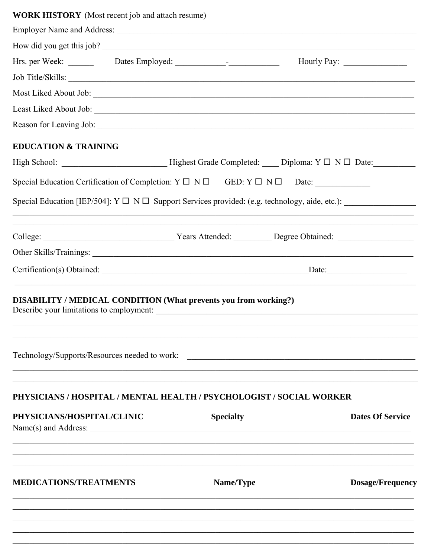# **WORK HISTORY** (Most recent job and attach resume)

|                                                                                                                     |                                                             |                  | How did you get this job?                                                                                       |  |
|---------------------------------------------------------------------------------------------------------------------|-------------------------------------------------------------|------------------|-----------------------------------------------------------------------------------------------------------------|--|
|                                                                                                                     |                                                             |                  |                                                                                                                 |  |
| Job Title/Skills:                                                                                                   |                                                             |                  |                                                                                                                 |  |
|                                                                                                                     |                                                             |                  |                                                                                                                 |  |
|                                                                                                                     |                                                             |                  |                                                                                                                 |  |
|                                                                                                                     |                                                             |                  |                                                                                                                 |  |
| <b>EDUCATION &amp; TRAINING</b>                                                                                     |                                                             |                  |                                                                                                                 |  |
|                                                                                                                     |                                                             |                  |                                                                                                                 |  |
|                                                                                                                     |                                                             |                  | Special Education Certification of Completion: $Y \square \neg N \square$ GED: $Y \square \neg N \square$ Date: |  |
|                                                                                                                     |                                                             |                  |                                                                                                                 |  |
|                                                                                                                     | <u> 1989 - Johann Stoff, amerikansk politiker (d. 1989)</u> |                  |                                                                                                                 |  |
|                                                                                                                     |                                                             |                  |                                                                                                                 |  |
|                                                                                                                     |                                                             |                  |                                                                                                                 |  |
| <b>DISABILITY / MEDICAL CONDITION (What prevents you from working?)</b><br>Describe your limitations to employment: |                                                             |                  |                                                                                                                 |  |
| Technology/Supports/Resources needed to work:                                                                       |                                                             |                  |                                                                                                                 |  |
| PHYSICIANS / HOSPITAL / MENTAL HEALTH / PSYCHOLOGIST / SOCIAL WORKER                                                |                                                             |                  |                                                                                                                 |  |
| PHYSICIANS/HOSPITAL/CLINIC                                                                                          |                                                             | <b>Specialty</b> | <b>Dates Of Service</b>                                                                                         |  |
| <b>MEDICATIONS/TREATMENTS</b>                                                                                       |                                                             | Name/Type        | <b>Dosage/Frequency</b>                                                                                         |  |
|                                                                                                                     |                                                             |                  |                                                                                                                 |  |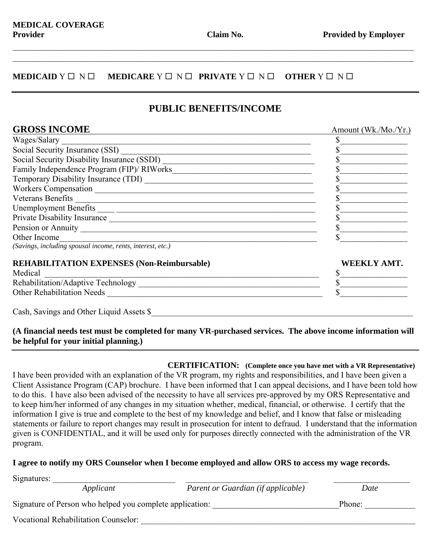$\mathcal{L}_\mathcal{L} = \{ \mathcal{L}_\mathcal{L} = \{ \mathcal{L}_\mathcal{L} = \{ \mathcal{L}_\mathcal{L} = \{ \mathcal{L}_\mathcal{L} = \{ \mathcal{L}_\mathcal{L} = \{ \mathcal{L}_\mathcal{L} = \{ \mathcal{L}_\mathcal{L} = \{ \mathcal{L}_\mathcal{L} = \{ \mathcal{L}_\mathcal{L} = \{ \mathcal{L}_\mathcal{L} = \{ \mathcal{L}_\mathcal{L} = \{ \mathcal{L}_\mathcal{L} = \{ \mathcal{L}_\mathcal{L} = \{ \mathcal{L}_\mathcal{$  $\mathcal{L}_\mathcal{L} = \{ \mathcal{L}_\mathcal{L} = \{ \mathcal{L}_\mathcal{L} = \{ \mathcal{L}_\mathcal{L} = \{ \mathcal{L}_\mathcal{L} = \{ \mathcal{L}_\mathcal{L} = \{ \mathcal{L}_\mathcal{L} = \{ \mathcal{L}_\mathcal{L} = \{ \mathcal{L}_\mathcal{L} = \{ \mathcal{L}_\mathcal{L} = \{ \mathcal{L}_\mathcal{L} = \{ \mathcal{L}_\mathcal{L} = \{ \mathcal{L}_\mathcal{L} = \{ \mathcal{L}_\mathcal{L} = \{ \mathcal{L}_\mathcal{$ 

#### **MEDICAID**  $Y \Box Y \Box$  **MEDICARE**  $Y \Box Y \Box$  **PRIVATE**  $Y \Box Y \Box$  **OTHER**  $Y \Box Y \Box$

## **PUBLIC BENEFITS/INCOME**

| <b>GROSS INCOME</b>                                                                                                                                                                                                              | Amount (Wk./Mo./Yr.) |
|----------------------------------------------------------------------------------------------------------------------------------------------------------------------------------------------------------------------------------|----------------------|
| Wages/Salary<br><u> 1989 - Johann Stoff, deutscher Stoffen und der Stoffen und der Stoffen und der Stoffen und der Stoffen und der</u>                                                                                           |                      |
|                                                                                                                                                                                                                                  |                      |
|                                                                                                                                                                                                                                  |                      |
|                                                                                                                                                                                                                                  |                      |
|                                                                                                                                                                                                                                  |                      |
|                                                                                                                                                                                                                                  |                      |
| Veterans Benefits                                                                                                                                                                                                                |                      |
|                                                                                                                                                                                                                                  |                      |
|                                                                                                                                                                                                                                  |                      |
|                                                                                                                                                                                                                                  |                      |
| Other Income                                                                                                                                                                                                                     |                      |
| (Savings, including spousal income, rents, interest, etc.)                                                                                                                                                                       |                      |
| <b>REHABILITATION EXPENSES (Non-Reimbursable)</b>                                                                                                                                                                                | <b>WEEKLY AMT.</b>   |
| Medical                                                                                                                                                                                                                          |                      |
|                                                                                                                                                                                                                                  |                      |
| Other Rehabilitation Needs<br>The Contract of The Contract of The Contract of The Contract of The Contract of The Contract of The Contract of The Contract of The Contract of The Contract of The Contract of The Contract of Th |                      |
| Cash, Savings and Other Liquid Assets \$                                                                                                                                                                                         |                      |

### **(A financial needs test must be completed for many VR-purchased services. The above income information will be helpful for your initial planning.)**

 **CERTIFICATION: (Complete once you have met with a VR Representative)** I have been provided with an explanation of the VR program, my rights and responsibilities, and I have been given a Client Assistance Program (CAP) brochure. I have been informed that I can appeal decisions, and I have been told how to do this. I have also been advised of the necessity to have all services pre-approved by my ORS Representative and to keep him/her informed of any changes in my situation whether, medical, financial, or otherwise. I certify that the information I give is true and complete to the best of my knowledge and belief, and I know that false or misleading statements or failure to report changes may result in prosecution for intent to defraud. I understand that the information given is CONFIDENTIAL, and it will be used only for purposes directly connected with the administration of the VR program.

#### **I agree to notify my ORS Counselor when I become employed and allow ORS to access my wage records.**

| Signatures:                                              |           |                                    |      |  |
|----------------------------------------------------------|-----------|------------------------------------|------|--|
|                                                          | Applicant | Parent or Guardian (if applicable) | Date |  |
| Signature of Person who helped you complete application: |           | Phone:                             |      |  |
| <b>Vocational Rehabilitation Counselor:</b>              |           |                                    |      |  |
|                                                          |           |                                    |      |  |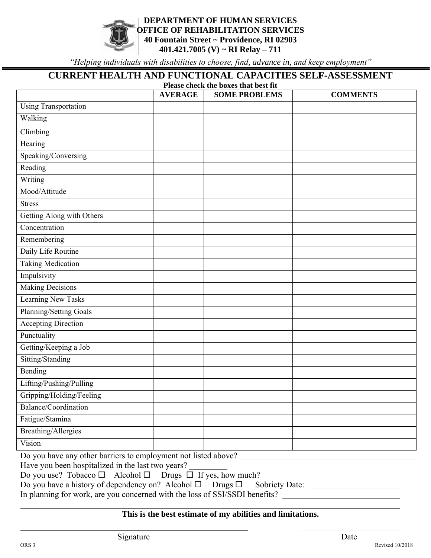#### **DEPARTMENT OF HUMAN SERVICES OFFICE OF REHABILITATION SERVICES 40 Fountain Street ~ Providence, RI 02903 401.421.7005 (V) ~ RI Relay – 711**

*"Helping individuals with disabilities to choose, find, advance in, and keep employment"*

## **CURRENT HEALTH AND FUNCTIONAL CAPACITIES SELF-ASSESSMENT**

| Please check the boxes that best fit |                |                      |                 |  |
|--------------------------------------|----------------|----------------------|-----------------|--|
|                                      | <b>AVERAGE</b> | <b>SOME PROBLEMS</b> | <b>COMMENTS</b> |  |
| <b>Using Transportation</b>          |                |                      |                 |  |
| Walking                              |                |                      |                 |  |
| Climbing                             |                |                      |                 |  |
| Hearing                              |                |                      |                 |  |
| Speaking/Conversing                  |                |                      |                 |  |
| Reading                              |                |                      |                 |  |
| Writing                              |                |                      |                 |  |
| Mood/Attitude                        |                |                      |                 |  |
| <b>Stress</b>                        |                |                      |                 |  |
| Getting Along with Others            |                |                      |                 |  |
| Concentration                        |                |                      |                 |  |
| Remembering                          |                |                      |                 |  |
| Daily Life Routine                   |                |                      |                 |  |
| <b>Taking Medication</b>             |                |                      |                 |  |
| Impulsivity                          |                |                      |                 |  |
| <b>Making Decisions</b>              |                |                      |                 |  |
| <b>Learning New Tasks</b>            |                |                      |                 |  |
| Planning/Setting Goals               |                |                      |                 |  |
| <b>Accepting Direction</b>           |                |                      |                 |  |
| Punctuality                          |                |                      |                 |  |
| Getting/Keeping a Job                |                |                      |                 |  |
| Sitting/Standing                     |                |                      |                 |  |
| Bending                              |                |                      |                 |  |
| Lifting/Pushing/Pulling              |                |                      |                 |  |
| Gripping/Holding/Feeling             |                |                      |                 |  |
| Balance/Coordination                 |                |                      |                 |  |
| Fatigue/Stamina                      |                |                      |                 |  |
| <b>Breathing/Allergies</b>           |                |                      |                 |  |
| Vision                               |                |                      |                 |  |

Do you have any other barriers to employment not listed above?

Have you been hospitalized in the last two years?

Do you use? Tobacco  $\Box$  Alcohol  $\Box$  Drugs  $\Box$  If yes, how much?

| Do you have a history of dependency on? Alcohol $\Box$ Drugs $\Box$ Sobriety Date: |  |
|------------------------------------------------------------------------------------|--|
|------------------------------------------------------------------------------------|--|

In planning for work, are you concerned with the loss of SSI/SSDI benefits?

### **This is the best estimate of my abilities and limitations.**

 $\overline{\phantom{a}}$  and  $\overline{\phantom{a}}$  and  $\overline{\phantom{a}}$  and  $\overline{\phantom{a}}$  and  $\overline{\phantom{a}}$   $\overline{\phantom{a}}$  and  $\overline{\phantom{a}}$  and  $\overline{\phantom{a}}$  and  $\overline{\phantom{a}}$  and  $\overline{\phantom{a}}$  and  $\overline{\phantom{a}}$  and  $\overline{\phantom{a}}$  and  $\overline{\phantom{a}}$  and  $\overline{\phantom{a}}$  and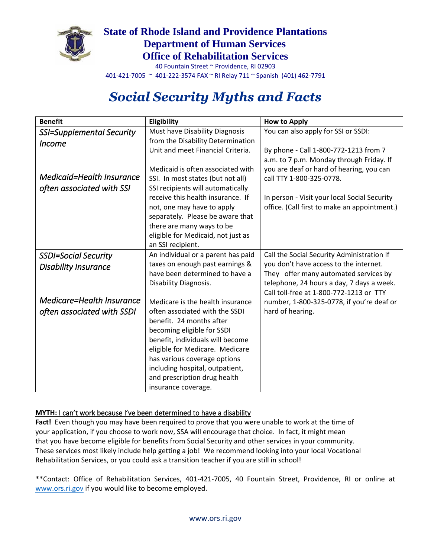

# **State of Rhode Island and Providence Plantations Department of Human Services Office of Rehabilitation Services**

40 Fountain Street ~ Providence, RI 02903 401-421-7005 ~ 401-222-3574 FAX ~ RI Relay 711 ~ Spanish (401) 462-7791

# *Social Security Myths and Facts*

| <b>Benefit</b>              | Eligibility                        | <b>How to Apply</b>                          |
|-----------------------------|------------------------------------|----------------------------------------------|
| SSI=Supplemental Security   | Must have Disability Diagnosis     | You can also apply for SSI or SSDI:          |
| <i>Income</i>               | from the Disability Determination  |                                              |
|                             | Unit and meet Financial Criteria.  | By phone - Call 1-800-772-1213 from 7        |
|                             |                                    | a.m. to 7 p.m. Monday through Friday. If     |
|                             | Medicaid is often associated with  | you are deaf or hard of hearing, you can     |
| Medicaid=Health Insurance   | SSI. In most states (but not all)  | call TTY 1-800-325-0778.                     |
| often associated with SSI   | SSI recipients will automatically  |                                              |
|                             | receive this health insurance. If  | In person - Visit your local Social Security |
|                             | not, one may have to apply         | office. (Call first to make an appointment.) |
|                             | separately. Please be aware that   |                                              |
|                             | there are many ways to be          |                                              |
|                             | eligible for Medicaid, not just as |                                              |
|                             | an SSI recipient.                  |                                              |
| <b>SSDI=Social Security</b> | An individual or a parent has paid | Call the Social Security Administration If   |
| <b>Disability Insurance</b> | taxes on enough past earnings &    | you don't have access to the internet.       |
|                             | have been determined to have a     | They offer many automated services by        |
|                             | Disability Diagnosis.              | telephone, 24 hours a day, 7 days a week.    |
|                             |                                    | Call toll-free at 1-800-772-1213 or TTY      |
| Medicare=Health Insurance   | Medicare is the health insurance   | number, 1-800-325-0778, if you're deaf or    |
| often associated with SSDI  | often associated with the SSDI     | hard of hearing.                             |
|                             | benefit. 24 months after           |                                              |
|                             | becoming eligible for SSDI         |                                              |
|                             | benefit, individuals will become   |                                              |
|                             | eligible for Medicare. Medicare    |                                              |
|                             | has various coverage options       |                                              |
|                             | including hospital, outpatient,    |                                              |
|                             | and prescription drug health       |                                              |
|                             | insurance coverage.                |                                              |

#### **MYTH:** I can't work because I've been determined to have a disability

**Fact!** Even though you may have been required to prove that you were unable to work at the time of your application, if you choose to work now, SSA will encourage that choice. In fact, it might mean that you have become eligible for benefits from Social Security and other services in your community. These services most likely include help getting a job! We recommend looking into your local Vocational Rehabilitation Services, or you could ask a transition teacher if you are still in school!

\*\*Contact: Office of Rehabilitation Services, 401-421-7005, 40 Fountain Street, Providence, RI or online at [www.ors.ri.gov](http://www.ors.ri.gov/) if you would like to become employed.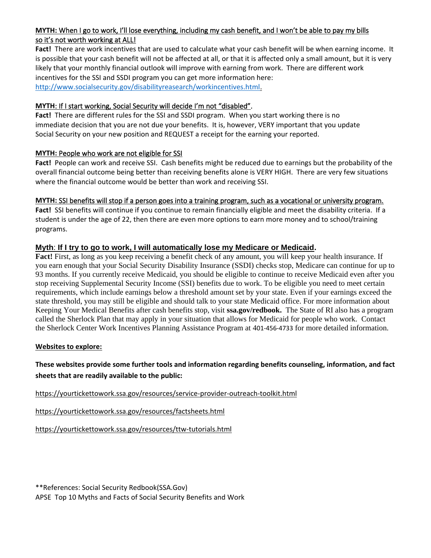#### **MYTH:** When I go to work, I'll lose everything, including my cash benefit, and I won't be able to pay my bills so it's not worth working at ALL!

**Fact!** There are work incentives that are used to calculate what your cash benefit will be when earning income. It is possible that your cash benefit will not be affected at all, or that it is affected only a small amount, but it is very likely that your monthly financial outlook will improve with earning from work. There are different work incentives for the SSI and SSDI program you can get more information here: [http://www.socialsecurity.gov/disabilityreasearch/workincentives.html.](http://www.socialsecurity.gov/disabilityreasearch/workincentives.html)

#### **MYTH**: If I start working, Social Security will decide I'm not "disabled".

**Fact!** There are different rules for the SSI and SSDI program. When you start working there is no immediate decision that you are not due your benefits. It is, however, VERY important that you update Social Security on your new position and REQUEST a receipt for the earning your reported.

#### **MYTH:** People who work are not eligible for SSI

**Fact!** People can work and receive SSI. Cash benefits might be reduced due to earnings but the probability of the overall financial outcome being better than receiving benefits alone is VERY HIGH. There are very few situations where the financial outcome would be better than work and receiving SSI.

#### **MYTH:** SSI benefits will stop if a person goes into a training program, such as a vocational or university program.

**Fact!** SSI benefits will continue if you continue to remain financially eligible and meet the disability criteria. If a student is under the age of 22, then there are even more options to earn more money and to school/training programs.

#### **Myth**: **If I try to go to work, I will automatically lose my Medicare or Medicaid.**

**Fact!** First, as long as you keep receiving a benefit check of any amount, you will keep your health insurance. If you earn enough that your Social Security Disability Insurance (SSDI) checks stop, Medicare can continue for up to 93 months. If you currently receive Medicaid, you should be eligible to continue to receive Medicaid even after you stop receiving Supplemental Security Income (SSI) benefits due to work. To be eligible you need to meet certain requirements, which include earnings below a threshold amount set by your state. Even if your earnings exceed the state threshold, you may still be eligible and should talk to your state Medicaid office. For more information about Keeping Your Medical Benefits after cash benefits stop, visit **ssa.gov/redbook.** The State of RI also has a program called the Sherlock Plan that may apply in your situation that allows for Medicaid for people who work. Contact the Sherlock Center Work Incentives Planning Assistance Program at 401-456-4733 for more detailed information.

#### **Websites to explore:**

#### **These websites provide some further tools and information regarding benefits counseling, information, and fact sheets that are readily available to the public:**

<https://yourtickettowork.ssa.gov/resources/service-provider-outreach-toolkit.html>

<https://yourtickettowork.ssa.gov/resources/factsheets.html>

<https://yourtickettowork.ssa.gov/resources/ttw-tutorials.html>

\*\*References: Social Security Redbook(SSA.Gov) APSE Top 10 Myths and Facts of Social Security Benefits and Work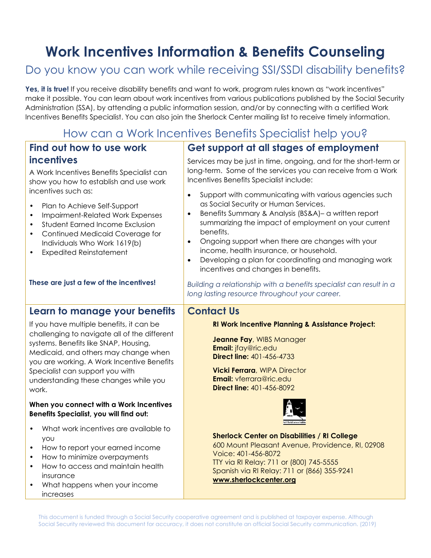# **Work Incentives Information & Benefits Counseling**

# Do you know you can work while receiving SSI/SSDI disability benefits?

Yes, it is true! If you receive disability benefits and want to work, program rules known as "work incentives" make it possible. You can learn about work incentives from various publications published by the Social Security Administration (SSA), by attending a public information session, and/or by connecting with a certified Work Incentives Benefits Specialist. You can also join the Sherlock Center mailing list to receive timely information.

# How can a Work Incentives Benefits Specialist help you?

| Find out how to use work                                                                                                                                                                                                                                                                                                                                                                                                      | Get support at all stages of employment                                                                                                                                                                                                                                                                                                                                                                                                                                                                                                                                                                                                                     |
|-------------------------------------------------------------------------------------------------------------------------------------------------------------------------------------------------------------------------------------------------------------------------------------------------------------------------------------------------------------------------------------------------------------------------------|-------------------------------------------------------------------------------------------------------------------------------------------------------------------------------------------------------------------------------------------------------------------------------------------------------------------------------------------------------------------------------------------------------------------------------------------------------------------------------------------------------------------------------------------------------------------------------------------------------------------------------------------------------------|
| incentives<br>A Work Incentives Benefits Specialist can<br>show you how to establish and use work<br>incentives such as:<br>Plan to Achieve Self-Support<br>Impairment-Related Work Expenses<br>$\bullet$<br><b>Student Earned Income Exclusion</b><br>Continued Medicaid Coverage for<br>$\bullet$<br>Individuals Who Work 1619(b)<br><b>Expedited Reinstatement</b><br>$\bullet$<br>These are just a few of the incentives! | Services may be just in time, ongoing, and for the short-term or<br>long-term. Some of the services you can receive from a Work<br>Incentives Benefits Specialist include:<br>Support with communicating with various agencies such<br>$\bullet$<br>as Social Security or Human Services.<br>Benefits Summary & Analysis (BS&A)- a written report<br>$\bullet$<br>summarizing the impact of employment on your current<br>benefits.<br>Ongoing support when there are changes with your<br>$\bullet$<br>income, health insurance, or household.<br>Developing a plan for coordinating and managing work<br>$\bullet$<br>incentives and changes in benefits. |
|                                                                                                                                                                                                                                                                                                                                                                                                                               | Building a relationship with a benefits specialist can result in a<br>long lasting resource throughout your career.                                                                                                                                                                                                                                                                                                                                                                                                                                                                                                                                         |
| Learn to manage your benefits                                                                                                                                                                                                                                                                                                                                                                                                 | <b>Contact Us</b>                                                                                                                                                                                                                                                                                                                                                                                                                                                                                                                                                                                                                                           |
| If you have multiple benefits, it can be<br>challenging to navigate all of the different<br>systems. Benefits like SNAP, Housing,<br>Medicaid, and others may change when<br>you are working. A Work Incentive Benefits<br>Specialist can support you with<br>understanding these changes while you<br>work.                                                                                                                  | <b>RI Work Incentive Planning &amp; Assistance Project:</b><br>Jeanne Fay, WIBS Manager<br>Email: jfay@ric.edu<br><b>Direct line: 401-456-4733</b><br><b>Vicki Ferrara, WIPA Director</b><br><b>Email: vferrara@ric.edu</b><br><b>Direct line: 401-456-8092</b>                                                                                                                                                                                                                                                                                                                                                                                             |
| When you connect with a Work Incentives<br>Benefits Specialist, you will find out:                                                                                                                                                                                                                                                                                                                                            |                                                                                                                                                                                                                                                                                                                                                                                                                                                                                                                                                                                                                                                             |
| What work incentives are available to<br><b>YOU</b><br>How to report your earned income<br>$\bullet$<br>How to minimize overpayments<br>$\bullet$<br>How to access and maintain health<br>insurance<br>What happens when your income<br>increases                                                                                                                                                                             | <b>Sherlock Center on Disabilities / RI College</b><br>600 Mount Pleasant Avenue, Providence, RI, 02908<br>Voice: 401-456-8072<br>TTY via RI Relay: 711 or (800) 745-5555<br>Spanish via RI Relay: 711 or (866) 355-9241<br>www.sherlockcenter.org                                                                                                                                                                                                                                                                                                                                                                                                          |

This document is funded through a Social Security cooperative agreement and is published at taxpayer expense. Although Social Security reviewed this document for accuracy, it does not constitute an official Social Security communication. (2019)